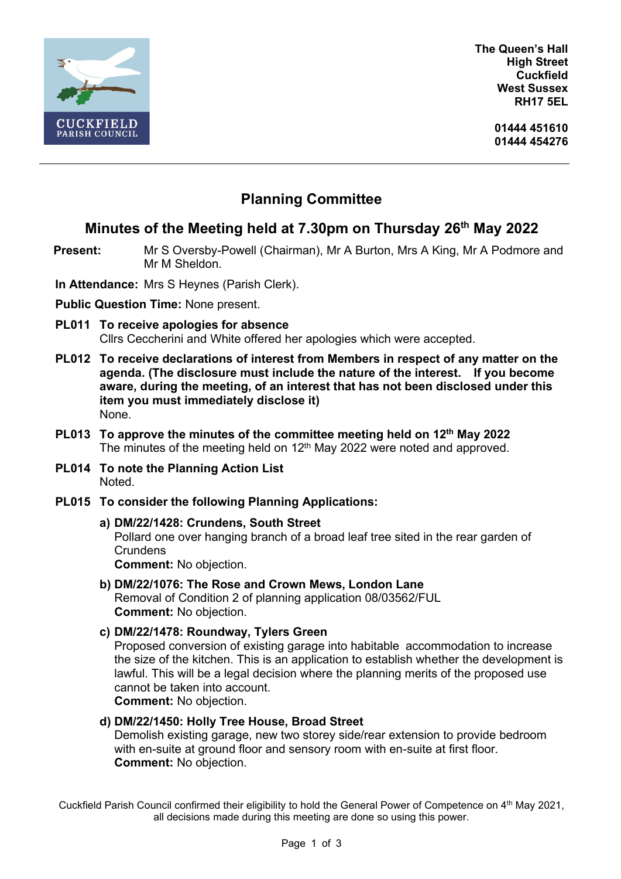

**The Queen's Hall High Street Cuckfield West Sussex RH17 5EL**

> **01444 451610 01444 454276**

# **Planning Committee**

## **Minutes of the Meeting held at 7.30pm on Thursday 26 th May 2022**

**Present:** Mr S Oversby-Powell (Chairman), Mr A Burton, Mrs A King, Mr A Podmore and Mr M Sheldon.

**In Attendance:** Mrs S Heynes (Parish Clerk).

**Public Question Time:** None present.

- **PL011 To receive apologies for absence** Cllrs Ceccherini and White offered her apologies which were accepted.
- **PL012 To receive declarations of interest from Members in respect of any matter on the agenda. (The disclosure must include the nature of the interest. If you become aware, during the meeting, of an interest that has not been disclosed under this item you must immediately disclose it)** None.
- **PL013 To approve the minutes of the committee meeting held on 12th May 2022** The minutes of the meeting held on 12<sup>th</sup> May 2022 were noted and approved.
- **PL014 To note the Planning Action List** Noted.
- **PL015 To consider the following Planning Applications:**
	- **a) DM/22/1428: Crundens, South Street**

Pollard one over hanging branch of a broad leaf tree sited in the rear garden of **Crundens** 

**Comment:** No objection.

**b) DM/22/1076: The Rose and Crown Mews, London Lane** Removal of Condition 2 of planning application 08/03562/FUL **Comment:** No objection.

**c) DM/22/1478: Roundway, Tylers Green** 

Proposed conversion of existing garage into habitable accommodation to increase the size of the kitchen. This is an application to establish whether the development is lawful. This will be a legal decision where the planning merits of the proposed use cannot be taken into account.

**Comment:** No objection.

### **d) DM/22/1450: Holly Tree House, Broad Street**

Demolish existing garage, new two storey side/rear extension to provide bedroom with en-suite at ground floor and sensory room with en-suite at first floor. **Comment:** No objection.

Cuckfield Parish Council confirmed their eligibility to hold the General Power of Competence on 4th May 2021, all decisions made during this meeting are done so using this power.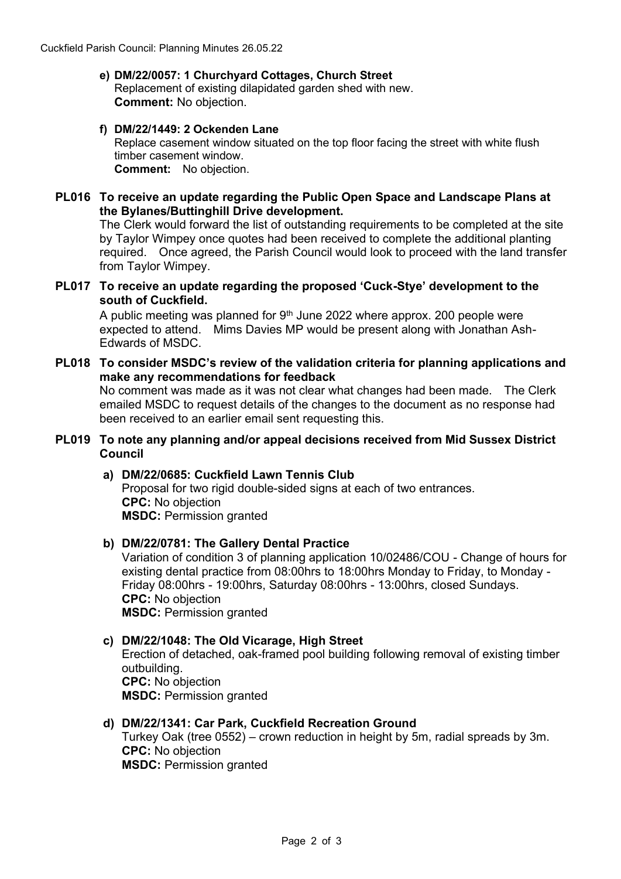#### **e) DM/22/0057: 1 Churchyard Cottages, Church Street** Replacement of existing dilapidated garden shed with new. **Comment:** No objection.

### **f) DM/22/1449: 2 Ockenden Lane**

Replace casement window situated on the top floor facing the street with white flush timber casement window. **Comment:** No objection.

### **PL016 To receive an update regarding the Public Open Space and Landscape Plans at the Bylanes/Buttinghill Drive development.**

The Clerk would forward the list of outstanding requirements to be completed at the site by Taylor Wimpey once quotes had been received to complete the additional planting required. Once agreed, the Parish Council would look to proceed with the land transfer from Taylor Wimpey.

### **PL017 To receive an update regarding the proposed 'Cuck-Stye' development to the south of Cuckfield.**

A public meeting was planned for  $9<sup>th</sup>$  June 2022 where approx. 200 people were expected to attend. Mims Davies MP would be present along with Jonathan Ash-Edwards of MSDC.

### **PL018 To consider MSDC's review of the validation criteria for planning applications and make any recommendations for feedback**

No comment was made as it was not clear what changes had been made. The Clerk emailed MSDC to request details of the changes to the document as no response had been received to an earlier email sent requesting this.

### **PL019 To note any planning and/or appeal decisions received from Mid Sussex District Council**

### **a) DM/22/0685: Cuckfield Lawn Tennis Club** Proposal for two rigid double-sided signs at each of two entrances. **CPC:** No objection **MSDC:** Permission granted

### **b) DM/22/0781: The Gallery Dental Practice**

Variation of condition 3 of planning application 10/02486/COU - Change of hours for existing dental practice from 08:00hrs to 18:00hrs Monday to Friday, to Monday - Friday 08:00hrs - 19:00hrs, Saturday 08:00hrs - 13:00hrs, closed Sundays. **CPC:** No objection **MSDC:** Permission granted

#### **c) DM/22/1048: The Old Vicarage, High Street**

Erection of detached, oak-framed pool building following removal of existing timber outbuilding. **CPC:** No objection **MSDC:** Permission granted

### **d) DM/22/1341: Car Park, Cuckfield Recreation Ground**

Turkey Oak (tree 0552) – crown reduction in height by 5m, radial spreads by 3m. **CPC:** No objection **MSDC:** Permission granted